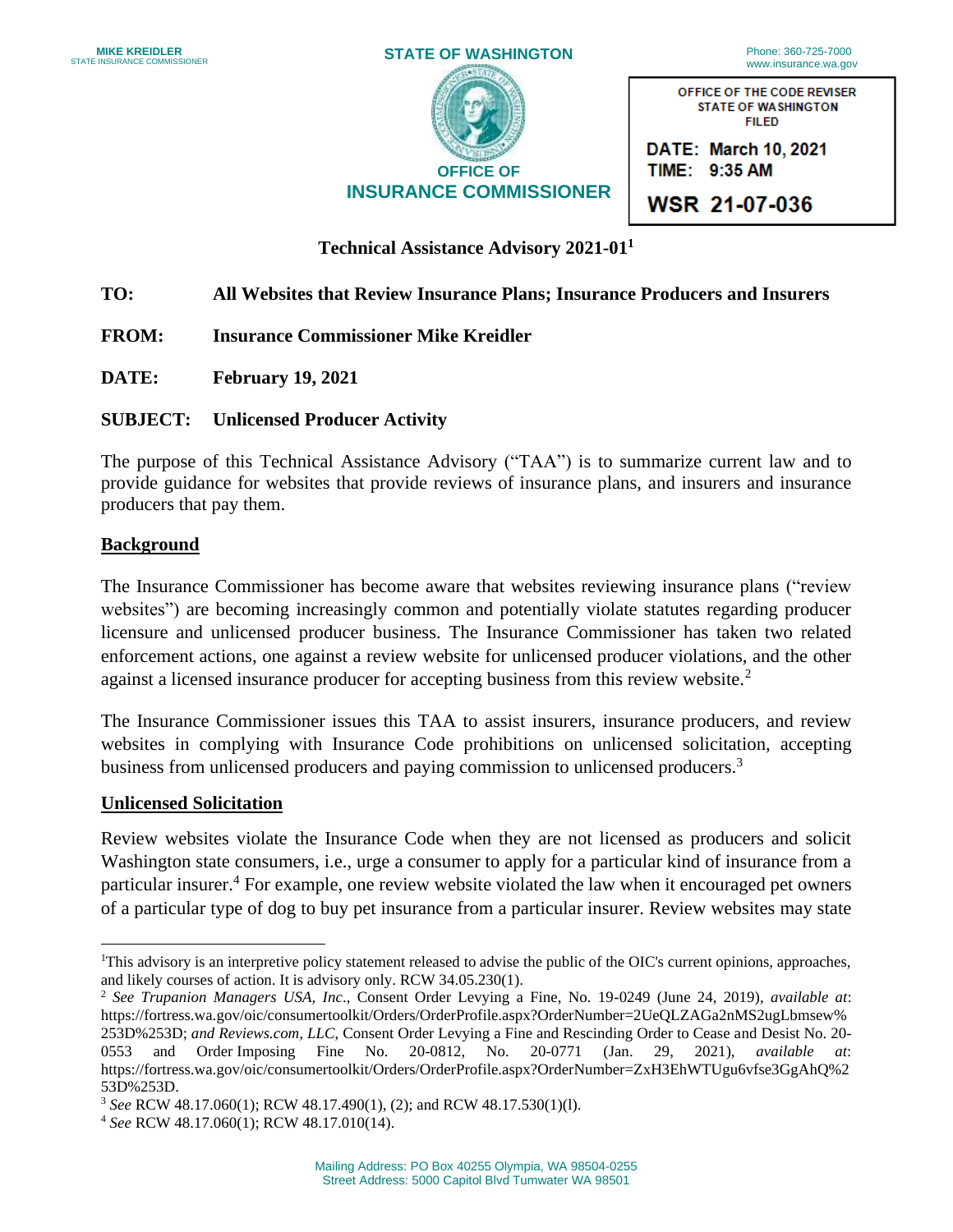| <b>MIKE KREIDLER</b><br><b>STATE INSURANCE COMMISSIONER</b> | <b>STATE OF WASHINGTON</b>    | Phone: 360-725-7000<br>www.insurance.wa.gov                              |
|-------------------------------------------------------------|-------------------------------|--------------------------------------------------------------------------|
|                                                             |                               | OFFICE OF THE CODE REVISER<br><b>STATE OF WASHINGTON</b><br><b>FILED</b> |
|                                                             | <b>OFFICE OF</b>              | DATE: March 10, 2021<br>TIME: 9:35 AM                                    |
|                                                             | <b>INSURANCE COMMISSIONER</b> | <b>WSR 21-07-036</b>                                                     |

**WSR 21-07-036** 

### **Technical Assistance Advisory 2021-011**

# **TO: All Websites that Review Insurance Plans; Insurance Producers and Insurers**

- **FROM: Insurance Commissioner Mike Kreidler**
- **DATE: February 19, 2021**

### **SUBJECT: Unlicensed Producer Activity**

 provide guidance for websites that provide reviews of insurance plans, and insurers and insurance The purpose of this Technical Assistance Advisory ("TAA") is to summarize current law and to producers that pay them.

#### **Background**

 The Insurance Commissioner has become aware that websites reviewing insurance plans ("review websites") are becoming increasingly common and potentially violate statutes regarding producer licensure and unlicensed producer business. The Insurance Commissioner has taken two related enforcement actions, one against a review website for unlicensed producer violations, and the other against a licensed insurance producer for accepting business from this review website.<sup>2</sup>

 The Insurance Commissioner issues this TAA to assist insurers, insurance producers, and review websites in complying with Insurance Code prohibitions on unlicensed solicitation, accepting business from unlicensed producers and paying commission to unlicensed producers.<sup>3</sup>

#### **Unlicensed Solicitation**

 Review websites violate the Insurance Code when they are not licensed as producers and solicit Washington state consumers, i.e., urge a consumer to apply for a particular kind of insurance from a of a particular type of dog to buy pet insurance from a particular insurer. Review websites may state particular insurer.<sup>4</sup> For example, one review website violated the law when it encouraged pet owners

<sup>&</sup>lt;sup>1</sup>This advisory is an interpretive policy statement released to advise the public of the OIC's current opinions, approaches, and likely courses of action. It is advisory only. RCW 34.05.230(1).

 <sup>2</sup>*See Trupanion Managers USA, Inc*., Consent Order Levying a Fine, No. 19-0249 (June 24, 2019), *available at*: 253D%253D; *and [Reviews.com](https://Reviews.com), LLC*, Consent Order Levying a Fine and Rescinding Order to Cease and Desist No. 20- 0553 [https://fortress.wa.gov/oic/consumertoolkit/Orders/OrderProfile.aspx?OrderNumber=2UeQLZAGa2nMS2ugLbmsew%](https://fortress.wa.gov/oic/consumertoolkit/Orders/OrderProfile.aspx?OrderNumber=2UeQLZAGa2nMS2ugLbmsew) 0553 and Order Imposing Fine No. 20-0812, No. 20-0771 (Jan. 29, 2021), *available at*: <https://fortress.wa.gov/oic/consumertoolkit/Orders/OrderProfile.aspx?OrderNumber=ZxH3EhWTUgu6vfse3GgAhQ%2>

 53D%253D. 3 *See* RCW 48.17.060(1); RCW 48.17.490(1), (2); and RCW 48.17.530(1)(l). 4 *See* RCW 48.17.060(1); RCW 48.17.010(14).